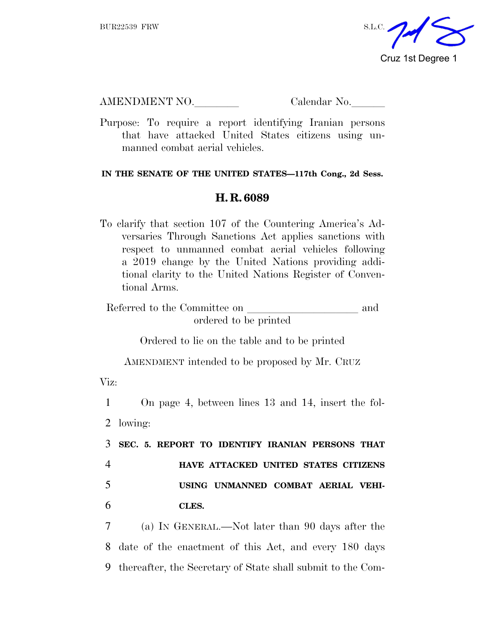

AMENDMENT NO. Calendar No.

Purpose: To require a report identifying Iranian persons that have attacked United States citizens using unmanned combat aerial vehicles.

## **IN THE SENATE OF THE UNITED STATES—117th Cong., 2d Sess.**

## **H. R. 6089**

To clarify that section 107 of the Countering America's Adversaries Through Sanctions Act applies sanctions with respect to unmanned combat aerial vehicles following a 2019 change by the United Nations providing additional clarity to the United Nations Register of Conventional Arms.

Referred to the Committee on and ordered to be printed

Ordered to lie on the table and to be printed

AMENDMENT intended to be proposed by Mr. CRUZ

Viz:

 On page 4, between lines 13 and 14, insert the fol-2 lowing: **SEC. 5. REPORT TO IDENTIFY IRANIAN PERSONS THAT HAVE ATTACKED UNITED STATES CITIZENS USING UNMANNED COMBAT AERIAL VEHI-**6 **CLES.**

7 (a) I<sup>N</sup> GENERAL.—Not later than 90 days after the 8 date of the enactment of this Act, and every 180 days 9 thereafter, the Secretary of State shall submit to the Com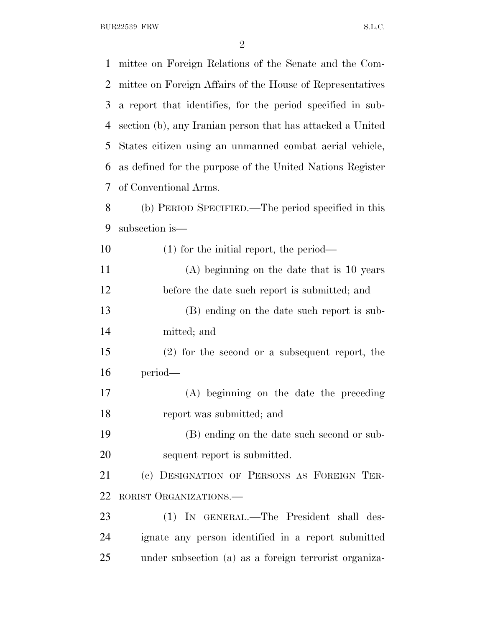BUR22539 FRW S.L.C.

 mittee on Foreign Relations of the Senate and the Com- mittee on Foreign Affairs of the House of Representatives a report that identifies, for the period specified in sub- section (b), any Iranian person that has attacked a United States citizen using an unmanned combat aerial vehicle, as defined for the purpose of the United Nations Register of Conventional Arms. (b) PERIOD SPECIFIED.—The period specified in this subsection is— (1) for the initial report, the period— (A) beginning on the date that is 10 years before the date such report is submitted; and (B) ending on the date such report is sub- mitted; and (2) for the second or a subsequent report, the period— (A) beginning on the date the preceding report was submitted; and (B) ending on the date such second or sub- sequent report is submitted. (c) DESIGNATION OF PERSONS AS FOREIGN TER- RORIST ORGANIZATIONS.— (1) IN GENERAL.—The President shall des- ignate any person identified in a report submitted under subsection (a) as a foreign terrorist organiza